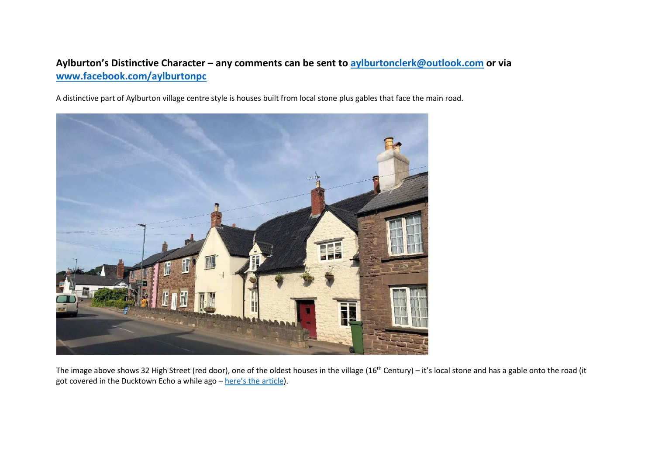## **Aylburton's Distinctive Character – any comments can be sent to [aylburtonclerk@outlook.com](mailto:aylburtonclerk@outlook.com) or via [www.facebook.com/aylburtonpc](http://www.facebook.com/aylburtonpc)**

A distinctive part of Aylburton village centre style is houses built from local stone plus gables that face the main road.



The image above shows 32 High Street (red door), one of the oldest houses in the village (16<sup>th</sup> Century) – it's local stone and has a gable onto the road (it got covered in the Ducktown Echo a while ago – here'[s the article\)](http://aylburton.net/wp-content/uploads/2019/04/Historic_1_32HighStreet.pdf).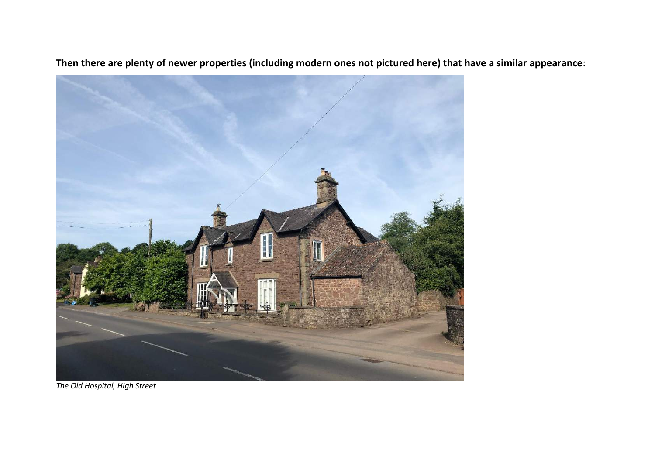

**Then there are plenty of newer properties (including modern ones not pictured here) that have a similar appearance**:

*The Old Hospital, High Street*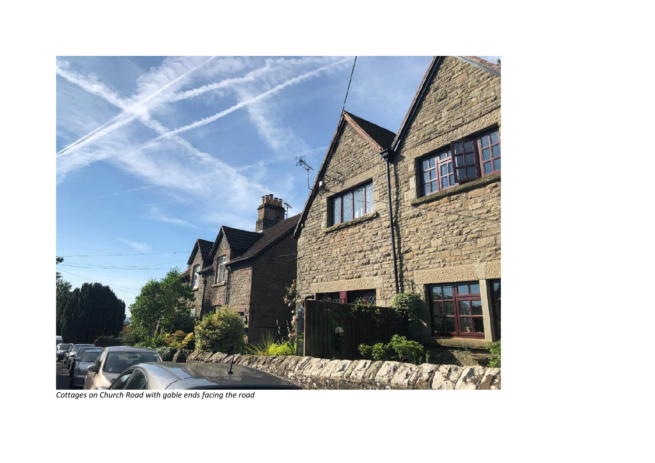

*Cottages on Church Road with gable ends facing the road*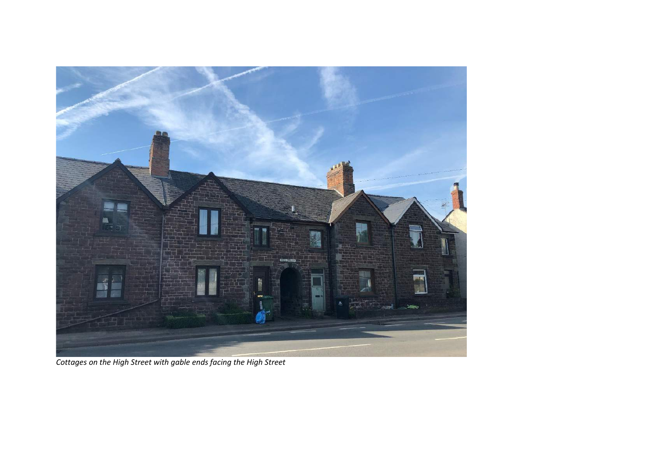

*Cottages on the High Street with gable ends facing the High Street*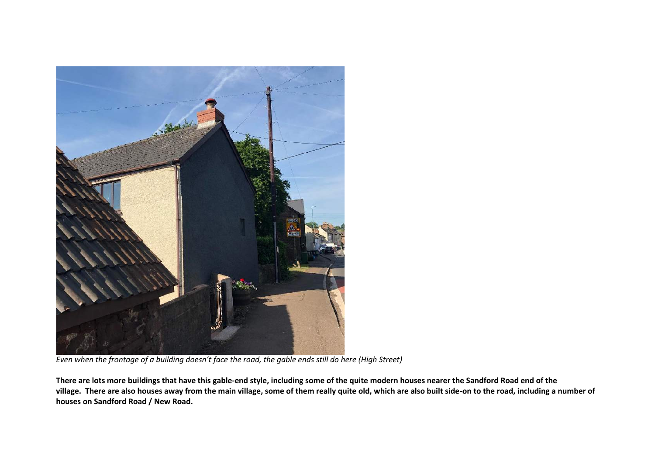

*Even when the frontage of a building doesn't face the road, the gable ends still do here (High Street)*

**There are lots more buildings that have this gable-end style, including some of the quite modern houses nearer the Sandford Road end of the village. There are also houses away from the main village, some of them really quite old, which are also built side-on to the road, including a number of houses on Sandford Road / New Road.**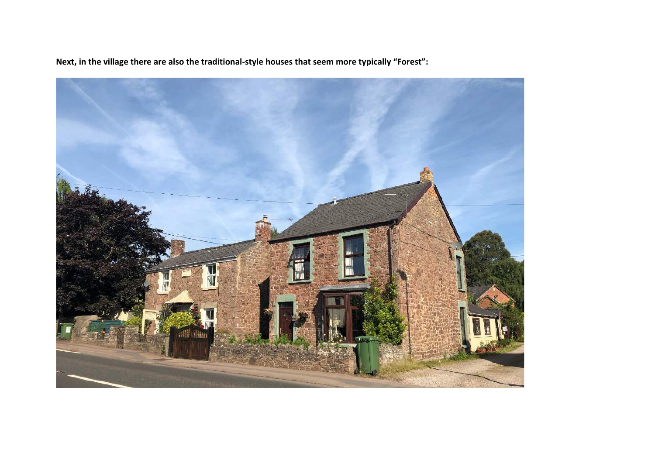**Next, in the village there are also the traditional-style houses that seem more typically "Forest":**